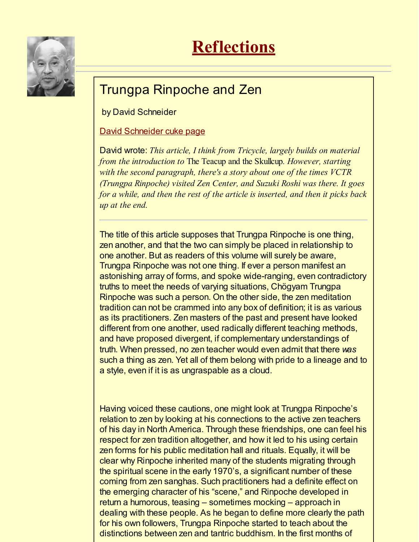## **[Reflections](http://www.cuke.com/Cucumber%20Project/reflections/reflections.html)**



## Trungpa Rinpoche and Zen

by David Schneider

[David Schneider cuke page](http://www.cuke.com/people/schneider-david.htm)

David wrote: *This article, I think from Tricycle, largely builds on material from the introduction to* The Teacup and the Skullcup*. However, starting with the second paragraph, there's a story about one of the times VCTR (Trungpa Rinpoche) visited Zen Center, and Suzuki Roshi was there. It goes for a while, and then the rest of the article is inserted, and then it picks back up at the end.*

The title of this article supposes that Trungpa Rinpoche is one thing, zen another, and that the two can simply be placed in relationship to one another. But as readers of this volume will surely be aware, Trungpa Rinpoche was not one thing. If ever a person manifest an astonishing array of forms, and spoke wide-ranging, even contradictory truths to meet the needs of varying situations, Chögyam Trungpa Rinpoche was such a person. On the other side, the zen meditation tradition can not be crammed into any box of definition; it is as various as its practitioners. Zen masters of the past and present have looked different from one another, used radically different teaching methods, and have proposed divergent, if complementary understandings of truth. When pressed, no zen teacher would even admit that there was such a thing as zen. Yet all of them belong with pride to a lineage and to a style, even if it is as ungraspable as a cloud.

Having voiced these cautions, one might look at Trungpa Rinpoche's relation to zen by looking at his connections to the active zen teachers of his day in North America. Through these friendships, one can feel his respect for zen tradition altogether, and how it led to his using certain zen forms for his public meditation hall and rituals. Equally, it will be clear why Rinpoche inherited many of the students migrating through the spiritual scene in the early 1970's, a significant number of these coming from zen sanghas. Such practitioners had a definite effect on the emerging character of his "scene," and Rinpoche developed in return a humorous, teasing – sometimes mocking – approach in dealing with these people. As he began to define more clearly the path for his own followers, Trungpa Rinpoche started to teach about the distinctions between zen and tantric buddhism. In the first months of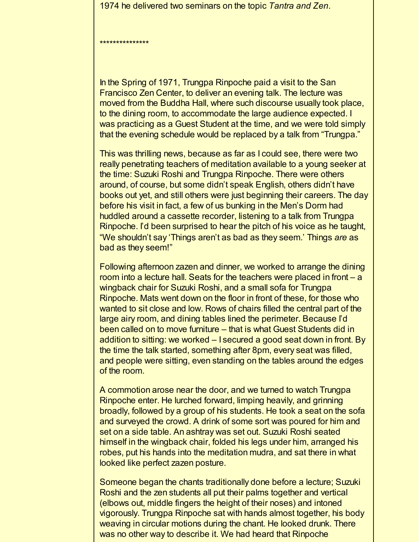1974 he delivered two seminars on the topic Tantra and Zen.

\*\*\*\*\*\*\*\*\*\*\*\*\*\*\*

In the Spring of 1971, Trungpa Rinpoche paid a visit to the San Francisco Zen Center, to deliver an evening talk. The lecture was moved from the Buddha Hall, where such discourse usually took place, to the dining room, to accommodate the large audience expected. I was practicing as a Guest Student at the time, and we were told simply that the evening schedule would be replaced by a talk from "Trungpa."

This was thrilling news, because as far as I could see, there were two really penetrating teachers of meditation available to a young seeker at the time: Suzuki Roshi and Trungpa Rinpoche. There were others around, of course, but some didn't speak English, others didn't have books out yet, and still others were just beginning their careers. The day before his visit in fact, a few of us bunking in the Men's Dorm had huddled around a cassette recorder, listening to a talk from Trungpa Rinpoche. I'd been surprised to hear the pitch of his voice as he taught, "We shouldn't say 'Things aren't as bad as they seem.' Things are as bad as they seem!"

Following afternoon zazen and dinner, we worked to arrange the dining room into a lecture hall. Seats for the teachers were placed in front – a wingback chair for Suzuki Roshi, and a small sofa for Trungpa Rinpoche. Mats went down on the floor in front of these, for those who wanted to sit close and low. Rows of chairs filled the central part of the large airy room, and dining tables lined the perimeter. Because I'd been called on to move furniture – that is what Guest Students did in addition to sitting: we worked – I secured a good seat down in front. By the time the talk started, something after 8pm, every seat was filled, and people were sitting, even standing on the tables around the edges of the room.

A commotion arose near the door, and we turned to watch Trungpa Rinpoche enter. He lurched forward, limping heavily, and grinning broadly, followed by a group of his students. He took a seat on the sofa and surveyed the crowd. A drink of some sort was poured for him and set on a side table. An ashtray was set out. Suzuki Roshi seated himself in the wingback chair, folded his legs under him, arranged his robes, put his hands into the meditation mudra, and sat there in what looked like perfect zazen posture.

Someone began the chants traditionally done before a lecture; Suzuki Roshi and the zen students all put their palms together and vertical (elbows out, middle fingers the height of their noses) and intoned vigorously. Trungpa Rinpoche sat with hands almost together, his body weaving in circular motions during the chant. He looked drunk. There was no other way to describe it. We had heard that Rinpoche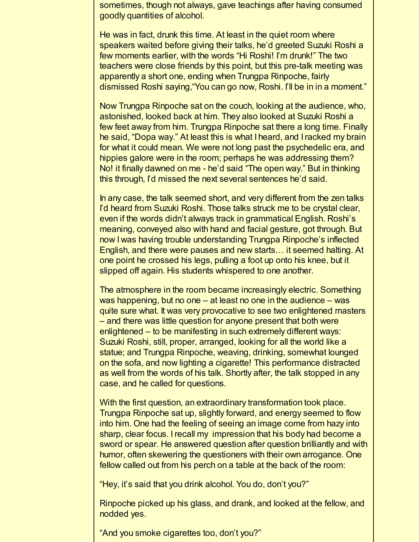sometimes, though not always, gave teachings after having consumed goodly quantities of alcohol.

He was in fact, drunk this time. At least in the quiet room where speakers waited before giving their talks, he'd greeted Suzuki Roshi a few moments earlier, with the words "Hi Roshi! I'm drunk!" The two teachers were close friends by this point, but this pre-talk meeting was apparently a short one, ending when Trungpa Rinpoche, fairly dismissed Roshi saying,"You can go now, Roshi. I'll be in in a moment."

Now Trungpa Rinpoche sat on the couch, looking at the audience, who, astonished, looked back at him. They also looked at Suzuki Roshi a few feet away from him. Trungpa Rinpoche sat there a long time. Finally he said, "Dopa way." At least this is what I heard, and I racked my brain for what it could mean. We were not long past the psychedelic era, and hippies galore were in the room; perhaps he was addressing them? No! it finally dawned on me - he'd said "The open way." But in thinking this through, I'd missed the next several sentences he'd said.

In any case, the talk seemed short, and very different from the zen talks I'd heard from Suzuki Roshi. Those talks struck me to be crystal clear, even if the words didn't always track in grammatical English. Roshi's meaning, conveyed also with hand and facial gesture, got through. But now I was having trouble understanding Trungpa Rinpoche's inflected English, and there were pauses and new starts… it seemed halting. At one point he crossed his legs, pulling a foot up onto his knee, but it slipped off again. His students whispered to one another.

The atmosphere in the room became increasingly electric. Something was happening, but no one – at least no one in the audience – was quite sure what. It was very provocative to see two enlightened masters – and there was little question for anyone present that both were enlightened – to be manifesting in such extremely different ways: Suzuki Roshi, still, proper, arranged, looking for all the world like a statue; and Trungpa Rinpoche, weaving, drinking, somewhat lounged on the sofa, and now lighting a cigarette! This performance distracted as well from the words of his talk. Shortly after, the talk stopped in any case, and he called for questions.

With the first question, an extraordinary transformation took place. Trungpa Rinpoche sat up, slightly forward, and energy seemed to flow into him. One had the feeling of seeing an image come from hazy into sharp, clear focus. I recall my impression that his body had become a sword or spear. He answered question after question brilliantly and with humor, often skewering the questioners with their own arrogance. One fellow called out from his perch on a table at the back of the room:

"Hey, it's said that you drink alcohol. You do, don't you?"

Rinpoche picked up his glass, and drank, and looked at the fellow, and nodded yes.

"And you smoke cigarettes too, don't you?"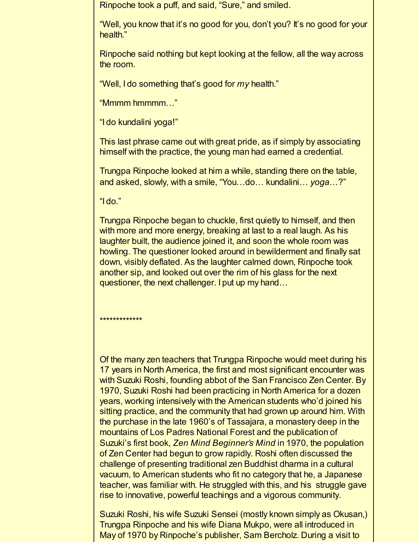Rinpoche took a puff, and said, "Sure," and smiled.

"Well, you know that it's no good for you, don't you? It's no good for your health."

Rinpoche said nothing but kept looking at the fellow, all the way across the room.

"Well, I do something that's good for my health."

"Mmmm hmmmm…"

"I do kundalini yoga!"

This last phrase came out with great pride, as if simply by associating himself with the practice, the young man had earned a credential.

Trungpa Rinpoche looked at him a while, standing there on the table, and asked, slowly, with a smile, "You…do… kundalini… yoga…?"

"I do."

Trungpa Rinpoche began to chuckle, first quietly to himself, and then with more and more energy, breaking at last to a real laugh. As his laughter built, the audience joined it, and soon the whole room was howling. The questioner looked around in bewilderment and finally sat down, visibly deflated. As the laughter calmed down, Rinpoche took another sip, and looked out over the rim of his glass for the next questioner, the next challenger. I put up my hand…

\*\*\*\*\*\*\*\*\*\*\*\*\*

Of the many zen teachers that Trungpa Rinpoche would meet during his 17 years in North America, the first and most significant encounter was with Suzuki Roshi, founding abbot of the San Francisco Zen Center. By 1970, Suzuki Roshi had been practicing in North America for a dozen years, working intensively with the American students who'd joined his sitting practice, and the community that had grown up around him. With the purchase in the late 1960's of Tassajara, a monastery deep in the mountains of Los Padres National Forest and the publication of Suzuki's first book, Zen Mind Beginner's Mind in 1970, the population of Zen Center had begun to grow rapidly. Roshi often discussed the challenge of presenting traditional zen Buddhist dharma in a cultural vacuum, to American students who fit no category that he, a Japanese teacher, was familiar with. He struggled with this, and his struggle gave rise to innovative, powerful teachings and a vigorous community.

Suzuki Roshi, his wife Suzuki Sensei (mostly known simply as Okusan,) Trungpa Rinpoche and his wife Diana Mukpo, were all introduced in May of 1970 by Rinpoche's publisher, Sam Bercholz. During a visit to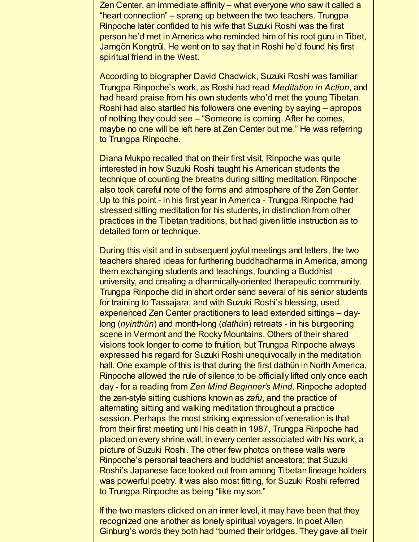Zen Center, an immediate affinity – what everyone who saw it called a "heart connection" – sprang up between the two teachers. Trungpa Rinpoche later confided to his wife that Suzuki Roshi was the first person he'd met in America who reminded him of his root guru in Tibet, Jamgön Kongtrül. He went on to say that in Roshi he'd found his first spiritual friend in the West.

According to biographer David Chadwick, Suzuki Roshi was familiar Trungpa Rinpoche's work, as Roshi had read Meditation in Action, and had heard praise from his own students who'd met the young Tibetan. Roshi had also startled his followers one evening by saying – apropos of nothing they could see – "Someone is coming. After he comes, maybe no one will be left here at Zen Center but me." He was referring to Trungpa Rinpoche.

Diana Mukpo recalled that on their first visit, Rinpoche was quite interested in how Suzuki Roshi taught his American students the technique of counting the breaths during sitting meditation. Rinpoche also took careful note of the forms and atmosphere of the Zen Center. Up to this point - in his first year in America - Trungpa Rinpoche had stressed sitting meditation for his students, in distinction from other practices in the Tibetan traditions, but had given little instruction as to detailed form or technique.

During this visit and in subsequent joyful meetings and letters, the two teachers shared ideas for furthering buddhadharma in America, among them exchanging students and teachings, founding a Buddhist university, and creating a dharmically-oriented therapeutic community. Trungpa Rinpoche did in short order send several of his senior students for training to Tassajara, and with Suzuki Roshi's blessing, used experienced Zen Center practitioners to lead extended sittings – daylong (nyinthün) and month-long (dathün) retreats - in his burgeoning scene in Vermont and the Rocky Mountains. Others of their shared visions took longer to come to fruition, but Trungpa Rinpoche always expressed his regard for Suzuki Roshi unequivocally in the meditation hall. One example of this is that during the first dathün in North America, Rinpoche allowed the rule of silence to be officially lifted only once each day - for a reading from Zen Mind Beginner's Mind. Rinpoche adopted the zen-style sitting cushions known as zafu, and the practice of alternating sitting and walking meditation throughout a practice session. Perhaps the most striking expression of veneration is that from their first meeting until his death in 1987, Trungpa Rinpoche had placed on every shrine wall, in every center associated with his work, a picture of Suzuki Roshi. The other few photos on these walls were Rinpoche's personal teachers and buddhist ancestors; that Suzuki Roshi's Japanese face looked out from among Tibetan lineage holders was powerful poetry. It was also most fitting, for Suzuki Roshi referred to Trungpa Rinpoche as being "like my son."

If the two masters clicked on an inner level, it may have been that they recognized one another as lonely spiritual voyagers. In poet Allen Ginburg's words they both had "burned their bridges. They gave all their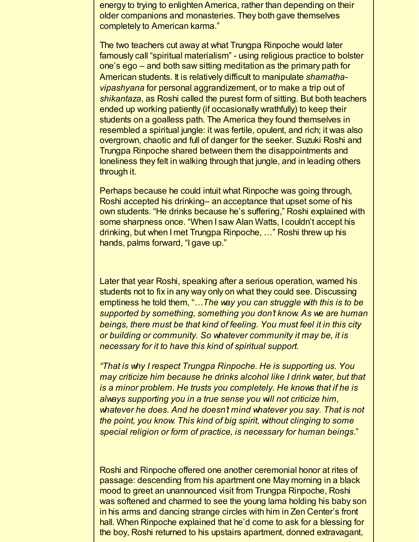energy to trying to enlighten America, rather than depending on their older companions and monasteries. They both gave themselves completely to American karma."

The two teachers cut away at what Trungpa Rinpoche would later famously call "spiritual materialism" - using religious practice to bolster one's ego – and both saw sitting meditation as the primary path for American students. It is relatively difficult to manipulate shamathavipashyana for personal aggrandizement, or to make a trip out of shikantaza, as Roshi called the purest form of sitting. But both teachers ended up working patiently (if occasionally wrathfully) to keep their students on a goalless path. The America they found themselves in resembled a spiritual jungle: it was fertile, opulent, and rich; it was also overgrown, chaotic and full of danger for the seeker. Suzuki Roshi and Trungpa Rinpoche shared between them the disappointments and loneliness they felt in walking through that jungle, and in leading others through it.

Perhaps because he could intuit what Rinpoche was going through, Roshi accepted his drinking– an acceptance that upset some of his own students. "He drinks because he's suffering," Roshi explained with some sharpness once. "When I saw Alan Watts, I couldn't accept his drinking, but when I met Trungpa Rinpoche, …" Roshi threw up his hands, palms forward, "I gave up."

Later that year Roshi, speaking after a serious operation, warned his students not to fix in any way only on what they could see. Discussing emptiness he told them, "... The way you can struggle with this is to be supported by something, something you don't know. As we are human beings, there must be that kind of feeling. You must feel it in this city or building or community. So whatever community it may be, it is necessary for it to have this kind of spiritual support.

"That is why I respect Trungpa Rinpoche. He is supporting us. You may criticize him because he drinks alcohol like I drink water, but that is a minor problem. He trusts you completely. He knows that if he is always supporting you in a true sense you will not criticize him, whatever he does. And he doesn't mind whatever you say. That is not the point, you know. This kind of big spirit, without clinging to some special religion or form of practice, is necessary for human beings."

Roshi and Rinpoche offered one another ceremonial honor at rites of passage: descending from his apartment one May morning in a black mood to greet an unannounced visit from Trungpa Rinpoche, Roshi was softened and charmed to see the young lama holding his baby son in his arms and dancing strange circles with him in Zen Center's front hall. When Rinpoche explained that he'd come to ask for a blessing for the boy, Roshi returned to his upstairs apartment, donned extravagant,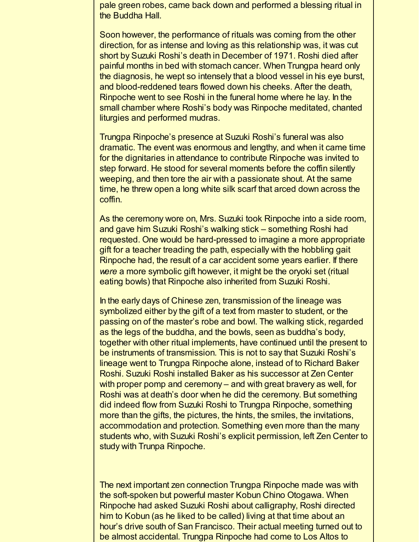pale green robes, came back down and performed a blessing ritual in the Buddha Hall.

Soon however, the performance of rituals was coming from the other direction, for as intense and loving as this relationship was, it was cut short by Suzuki Roshi's death in December of 1971. Roshi died after painful months in bed with stomach cancer. When Trungpa heard only the diagnosis, he wept so intensely that a blood vessel in his eye burst, and blood-reddened tears flowed down his cheeks. After the death, Rinpoche went to see Roshi in the funeral home where he lay. In the small chamber where Roshi's body was Rinpoche meditated, chanted liturgies and performed mudras.

Trungpa Rinpoche's presence at Suzuki Roshi's funeral was also dramatic. The event was enormous and lengthy, and when it came time for the dignitaries in attendance to contribute Rinpoche was invited to step forward. He stood for several moments before the coffin silently weeping, and then tore the air with a passionate shout. At the same time, he threw open a long white silk scarf that arced down across the coffin.

As the ceremony wore on, Mrs. Suzuki took Rinpoche into a side room, and gave him Suzuki Roshi's walking stick – something Roshi had requested. One would be hard-pressed to imagine a more appropriate gift for a teacher treading the path, especially with the hobbling gait Rinpoche had, the result of a car accident some years earlier. If there were a more symbolic gift however, it might be the oryoki set (ritual eating bowls) that Rinpoche also inherited from Suzuki Roshi.

In the early days of Chinese zen, transmission of the lineage was symbolized either by the gift of a text from master to student, or the passing on of the master's robe and bowl. The walking stick, regarded as the legs of the buddha, and the bowls, seen as buddha's body, together with other ritual implements, have continued until the present to be instruments of transmission. This is not to say that Suzuki Roshi's lineage went to Trungpa Rinpoche alone, instead of to Richard Baker Roshi. Suzuki Roshi installed Baker as his successor at Zen Center with proper pomp and ceremony – and with great bravery as well, for Roshi was at death's door when he did the ceremony. But something did indeed flow from Suzuki Roshi to Trungpa Rinpoche, something more than the gifts, the pictures, the hints, the smiles, the invitations, accommodation and protection. Something even more than the many students who, with Suzuki Roshi's explicit permission, left Zen Center to study with Trunpa Rinpoche.

The next important zen connection Trungpa Rinpoche made was with the soft-spoken but powerful master Kobun Chino Otogawa. When Rinpoche had asked Suzuki Roshi about calligraphy, Roshi directed him to Kobun (as he liked to be called) living at that time about an hour's drive south of San Francisco. Their actual meeting turned out to be almost accidental. Trungpa Rinpoche had come to Los Altos to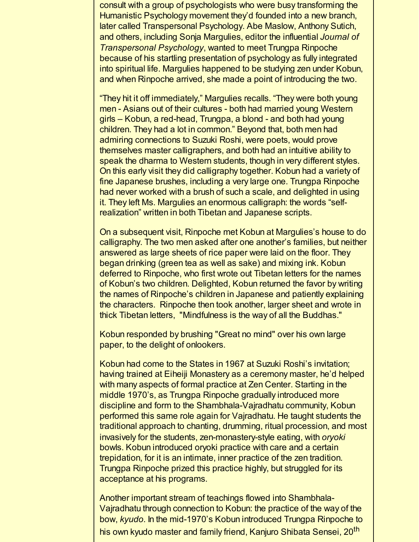consult with a group of psychologists who were busy transforming the Humanistic Psychology movement they'd founded into a new branch, later called Transpersonal Psychology. Abe Maslow, Anthony Sutich, and others, including Sonja Margulies, editor the influential Journal of Transpersonal Psychology, wanted to meet Trungpa Rinpoche because of his startling presentation of psychology as fully integrated into spiritual life. Margulies happened to be studying zen under Kobun, and when Rinpoche arrived, she made a point of introducing the two.

"They hit it off immediately," Margulies recalls. "They were both young men - Asians out of their cultures - both had married young Western girls – Kobun, a red-head, Trungpa, a blond - and both had young children. They had a lot in common." Beyond that, both men had admiring connections to Suzuki Roshi, were poets, would prove themselves master calligraphers, and both had an intuitive ability to speak the dharma to Western students, though in very different styles. On this early visit they did calligraphy together. Kobun had a variety of fine Japanese brushes, including a very large one. Trungpa Rinpoche had never worked with a brush of such a scale, and delighted in using it. They left Ms. Margulies an enormous calligraph: the words "selfrealization" written in both Tibetan and Japanese scripts.

On a subsequent visit, Rinpoche met Kobun at Margulies's house to do calligraphy. The two men asked after one another's families, but neither answered as large sheets of rice paper were laid on the floor. They began drinking (green tea as well as sake) and mixing ink. Kobun deferred to Rinpoche, who first wrote out Tibetan letters for the names of Kobun's two children. Delighted, Kobun returned the favor by writing the names of Rinpoche's children in Japanese and patiently explaining the characters. Rinpoche then took another, larger sheet and wrote in thick Tibetan letters, "Mindfulness is the way of all the Buddhas."

Kobun responded by brushing "Great no mind" over his own large paper, to the delight of onlookers.

Kobun had come to the States in 1967 at Suzuki Roshi's invitation; having trained at Eiheiji Monastery as a ceremony master, he'd helped with many aspects of formal practice at Zen Center. Starting in the middle 1970's, as Trungpa Rinpoche gradually introduced more discipline and form to the Shambhala-Vajradhatu community, Kobun performed this same role again for Vajradhatu. He taught students the traditional approach to chanting, drumming, ritual procession, and most invasively for the students, zen-monastery-style eating, with oryoki bowls. Kobun introduced oryoki practice with care and a certain trepidation, for it is an intimate, inner practice of the zen tradition. Trungpa Rinpoche prized this practice highly, but struggled for its acceptance at his programs.

Another important stream of teachings flowed into Shambhala-Vajradhatu through connection to Kobun: the practice of the way of the bow, kyudo. In the mid-1970's Kobun introduced Trungpa Rinpoche to his own kyudo master and family friend, Kanjuro Shibata Sensei, 20<sup>th</sup>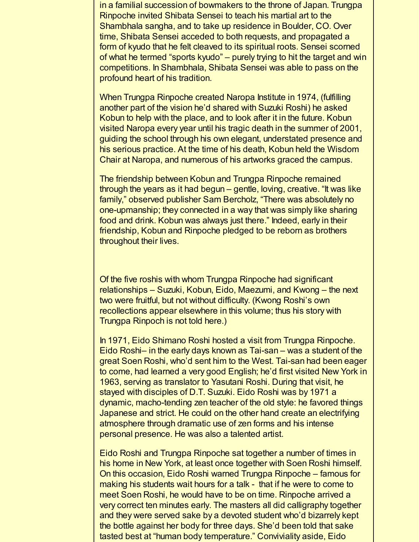in a familial succession of bowmakers to the throne of Japan. Trungpa Rinpoche invited Shibata Sensei to teach his martial art to the Shambhala sangha, and to take up residence in Boulder, CO. Over time, Shibata Sensei acceded to both requests, and propagated a form of kyudo that he felt cleaved to its spiritual roots. Sensei scorned of what he termed "sports kyudo" – purely trying to hit the target and win competitions. In Shambhala, Shibata Sensei was able to pass on the profound heart of his tradition.

When Trungpa Rinpoche created Naropa Institute in 1974, (fulfilling another part of the vision he'd shared with Suzuki Roshi) he asked Kobun to help with the place, and to look after it in the future. Kobun visited Naropa every year until his tragic death in the summer of 2001, guiding the school through his own elegant, understated presence and his serious practice. At the time of his death, Kobun held the Wisdom Chair at Naropa, and numerous of his artworks graced the campus.

The friendship between Kobun and Trungpa Rinpoche remained through the years as it had begun – gentle, loving, creative. "It was like family," observed publisher Sam Bercholz, "There was absolutely no one-upmanship; they connected in a way that was simply like sharing food and drink. Kobun was always just there." Indeed, early in their friendship, Kobun and Rinpoche pledged to be reborn as brothers throughout their lives.

Of the five roshis with whom Trungpa Rinpoche had significant relationships – Suzuki, Kobun, Eido, Maezumi, and Kwong – the next two were fruitful, but not without difficulty. (Kwong Roshi's own recollections appear elsewhere in this volume; thus his story with Trungpa Rinpoch is not told here.)

In 1971, Eido Shimano Roshi hosted a visit from Trungpa Rinpoche. Eido Roshi– in the early days known as Tai-san – was a student of the great Soen Roshi, who'd sent him to the West. Tai-san had been eager to come, had learned a very good English; he'd first visited New York in 1963, serving as translator to Yasutani Roshi. During that visit, he stayed with disciples of D.T. Suzuki. Eido Roshi was by 1971 a dynamic, macho-tending zen teacher of the old style: he favored things Japanese and strict. He could on the other hand create an electrifying atmosphere through dramatic use of zen forms and his intense personal presence. He was also a talented artist.

Eido Roshi and Trungpa Rinpoche sat together a number of times in his home in New York, at least once together with Soen Roshi himself. On this occasion, Eido Roshi warned Trungpa Rinpoche – famous for making his students wait hours for a talk - that if he were to come to meet Soen Roshi, he would have to be on time. Rinpoche arrived a very correct ten minutes early. The masters all did calligraphy together and they were served sake by a devoted student who'd bizarrely kept the bottle against her body for three days. She'd been told that sake tasted best at "human body temperature." Conviviality aside, Eido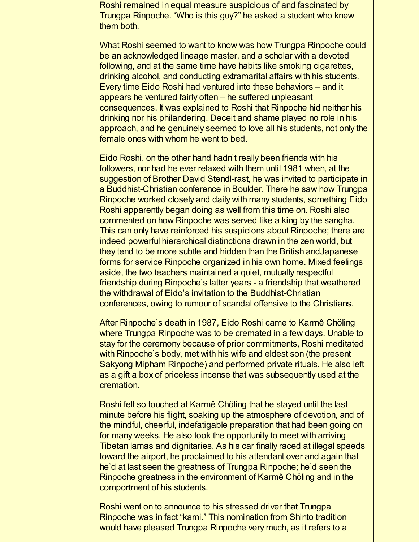Roshi remained in equal measure suspicious of and fascinated by Trungpa Rinpoche. "Who is this guy?" he asked a student who knew them both.

What Roshi seemed to want to know was how Trungpa Rinpoche could be an acknowledged lineage master, and a scholar with a devoted following, and at the same time have habits like smoking cigarettes, drinking alcohol, and conducting extramarital affairs with his students. Every time Eido Roshi had ventured into these behaviors – and it appears he ventured fairly often – he suffered unpleasant consequences. It was explained to Roshi that Rinpoche hid neither his drinking nor his philandering. Deceit and shame played no role in his approach, and he genuinely seemed to love all his students, not only the female ones with whom he went to bed.

Eido Roshi, on the other hand hadn't really been friends with his followers, nor had he ever relaxed with them until 1981 when, at the suggestion of Brother David Stendl-rast, he was invited to participate in a Buddhist-Christian conference in Boulder. There he saw how Trungpa Rinpoche worked closely and daily with many students, something Eido Roshi apparently began doing as well from this time on. Roshi also commented on how Rinpoche was served like a king by the sangha. This can only have reinforced his suspicions about Rinpoche; there are indeed powerful hierarchical distinctions drawn in the zen world, but they tend to be more subtle and hidden than the British andJapanese forms for service Rinpoche organized in his own home. Mixed feelings aside, the two teachers maintained a quiet, mutually respectful friendship during Rinpoche's latter years - a friendship that weathered the withdrawal of Eido's invitation to the Buddhist-Christian conferences, owing to rumour of scandal offensive to the Christians.

After Rinpoche's death in 1987, Eido Roshi came to Karmê Chöling where Trungpa Rinpoche was to be cremated in a few days. Unable to stay for the ceremony because of prior commitments, Roshi meditated with Rinpoche's body, met with his wife and eldest son (the present Sakyong Mipham Rinpoche) and performed private rituals. He also left as a gift a box of priceless incense that was subsequently used at the cremation.

Roshi felt so touched at Karmê Chöling that he stayed until the last minute before his flight, soaking up the atmosphere of devotion, and of the mindful, cheerful, indefatigable preparation that had been going on for many weeks. He also took the opportunity to meet with arriving Tibetan lamas and dignitaries. As his car finally raced at illegal speeds toward the airport, he proclaimed to his attendant over and again that he'd at last seen the greatness of Trungpa Rinpoche; he'd seen the Rinpoche greatness in the environment of Karmê Chöling and in the comportment of his students.

Roshi went on to announce to his stressed driver that Trungpa Rinpoche was in fact "kami." This nomination from Shinto tradition would have pleased Trungpa Rinpoche very much, as it refers to a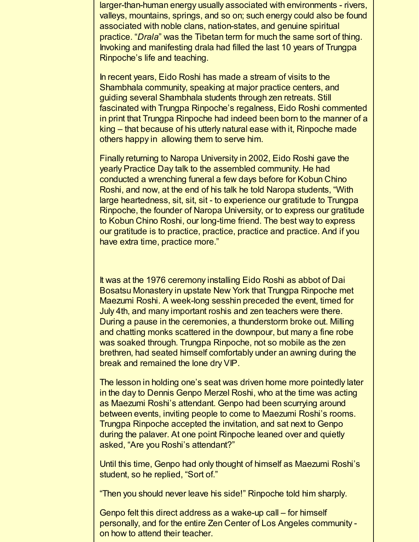larger-than-human energy usually associated with environments - rivers, valleys, mountains, springs, and so on; such energy could also be found associated with noble clans, nation-states, and genuine spiritual practice. "Drala" was the Tibetan term for much the same sort of thing. Invoking and manifesting drala had filled the last 10 years of Trungpa Rinpoche's life and teaching.

In recent years, Eido Roshi has made a stream of visits to the Shambhala community, speaking at major practice centers, and guiding several Shambhala students through zen retreats. Still fascinated with Trungpa Rinpoche's regalness, Eido Roshi commented in print that Trungpa Rinpoche had indeed been born to the manner of a king – that because of his utterly natural ease with it, Rinpoche made others happy in allowing them to serve him.

Finally returning to Naropa University in 2002, Eido Roshi gave the yearly Practice Day talk to the assembled community. He had conducted a wrenching funeral a few days before for Kobun Chino Roshi, and now, at the end of his talk he told Naropa students, "With large heartedness, sit, sit, sit - to experience our gratitude to Trungpa Rinpoche, the founder of Naropa University, or to express our gratitude to Kobun Chino Roshi, our long-time friend. The best way to express our gratitude is to practice, practice, practice and practice. And if you have extra time, practice more."

It was at the 1976 ceremony installing Eido Roshi as abbot of Dai Bosatsu Monastery in upstate New York that Trungpa Rinpoche met Maezumi Roshi. A week-long sesshin preceded the event, timed for July 4th, and many important roshis and zen teachers were there. During a pause in the ceremonies, a thunderstorm broke out. Milling and chatting monks scattered in the downpour, but many a fine robe was soaked through. Trungpa Rinpoche, not so mobile as the zen brethren, had seated himself comfortably under an awning during the break and remained the lone dry VIP.

The lesson in holding one's seat was driven home more pointedly later in the day to Dennis Genpo Merzel Roshi, who at the time was acting as Maezumi Roshi's attendant. Genpo had been scurrying around between events, inviting people to come to Maezumi Roshi's rooms. Trungpa Rinpoche accepted the invitation, and sat next to Genpo during the palaver. At one point Rinpoche leaned over and quietly asked, "Are you Roshi's attendant?"

Until this time, Genpo had only thought of himself as Maezumi Roshi's student, so he replied, "Sort of."

"Then you should never leave his side!" Rinpoche told him sharply.

Genpo felt this direct address as a wake-up call – for himself personally, and for the entire Zen Center of Los Angeles community on how to attend their teacher.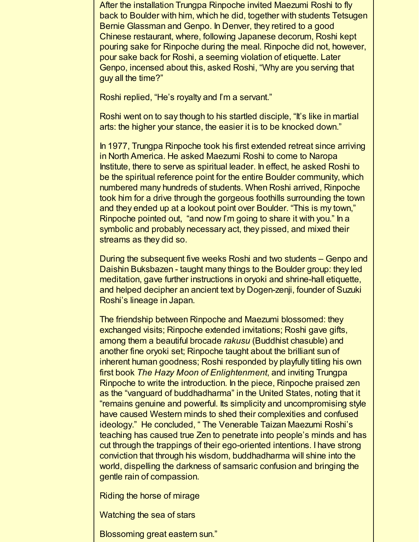After the installation Trungpa Rinpoche invited Maezumi Roshi to fly back to Boulder with him, which he did, together with students Tetsugen Bernie Glassman and Genpo. In Denver, they retired to a good Chinese restaurant, where, following Japanese decorum, Roshi kept pouring sake for Rinpoche during the meal. Rinpoche did not, however, pour sake back for Roshi, a seeming violation of etiquette. Later Genpo, incensed about this, asked Roshi, "Why are you serving that guy all the time?"

Roshi replied, "He's royalty and I'm a servant."

Roshi went on to say though to his startled disciple, "It's like in martial arts: the higher your stance, the easier it is to be knocked down."

In 1977, Trungpa Rinpoche took his first extended retreat since arriving in North America. He asked Maezumi Roshi to come to Naropa Institute, there to serve as spiritual leader. In effect, he asked Roshi to be the spiritual reference point for the entire Boulder community, which numbered many hundreds of students. When Roshi arrived, Rinpoche took him for a drive through the gorgeous foothills surrounding the town and they ended up at a lookout point over Boulder. "This is my town," Rinpoche pointed out, "and now I'm going to share it with you." In a symbolic and probably necessary act, they pissed, and mixed their streams as they did so.

During the subsequent five weeks Roshi and two students – Genpo and Daishin Buksbazen - taught many things to the Boulder group: they led meditation, gave further instructions in oryoki and shrine-hall etiquette, and helped decipher an ancient text by Dogen-zenji, founder of Suzuki Roshi's lineage in Japan.

The friendship between Rinpoche and Maezumi blossomed: they exchanged visits; Rinpoche extended invitations; Roshi gave gifts, among them a beautiful brocade rakusu (Buddhist chasuble) and another fine oryoki set; Rinpoche taught about the brilliant sun of inherent human goodness; Roshi responded by playfully titling his own first book The Hazy Moon of Enlightenment, and inviting Trungpa Rinpoche to write the introduction. In the piece, Rinpoche praised zen as the "vanguard of buddhadharma" in the United States, noting that it "remains genuine and powerful. Its simplicity and uncompromising style have caused Western minds to shed their complexities and confused ideology." He concluded, "The Venerable Taizan Maezumi Roshi's teaching has caused true Zen to penetrate into people's minds and has cut through the trappings of their ego-oriented intentions. I have strong conviction that through his wisdom, buddhadharma will shine into the world, dispelling the darkness of samsaric confusion and bringing the gentle rain of compassion.

Riding the horse of mirage

Watching the sea of stars

Blossoming great eastern sun."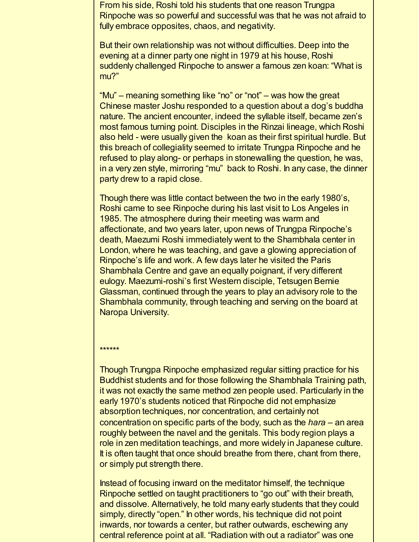From his side, Roshi told his students that one reason Trungpa Rinpoche was so powerful and successful was that he was not afraid to fully embrace opposites, chaos, and negativity.

But their own relationship was not without difficulties. Deep into the evening at a dinner party one night in 1979 at his house, Roshi suddenly challenged Rinpoche to answer a famous zen koan: "What is mu?"

"Mu" – meaning something like "no" or "not" – was how the great Chinese master Joshu responded to a question about a dog's buddha nature. The ancient encounter, indeed the syllable itself, became zen's most famous turning point. Disciples in the Rinzai lineage, which Roshi also held - were usually given the koan as their first spiritual hurdle. But this breach of collegiality seemed to irritate Trungpa Rinpoche and he refused to play along- or perhaps in stonewalling the question, he was, in a very zen style, mirroring "mu" back to Roshi. In any case, the dinner party drew to a rapid close.

Though there was little contact between the two in the early 1980's, Roshi came to see Rinpoche during his last visit to Los Angeles in 1985. The atmosphere during their meeting was warm and affectionate, and two years later, upon news of Trungpa Rinpoche's death, Maezumi Roshi immediately went to the Shambhala center in London, where he was teaching, and gave a glowing appreciation of Rinpoche's life and work. A few days later he visited the Paris Shambhala Centre and gave an equally poignant, if very different eulogy. Maezumi-roshi's first Western disciple, Tetsugen Bernie Glassman, continued through the years to play an advisory role to the Shambhala community, through teaching and serving on the board at Naropa University.

## \*\*\*\*\*\*

Though Trungpa Rinpoche emphasized regular sitting practice for his Buddhist students and for those following the Shambhala Training path, it was not exactly the same method zen people used. Particularly in the early 1970's students noticed that Rinpoche did not emphasize absorption techniques, nor concentration, and certainly not concentration on specific parts of the body, such as the hara – an area roughly between the navel and the genitals. This body region plays a role in zen meditation teachings, and more widely in Japanese culture. It is often taught that once should breathe from there, chant from there, or simply put strength there.

Instead of focusing inward on the meditator himself, the technique Rinpoche settled on taught practitioners to "go out" with their breath, and dissolve. Alternatively, he told many early students that they could simply, directly "open." In other words, his technique did not point inwards, nor towards a center, but rather outwards, eschewing any central reference point at all. "Radiation with out a radiator" was one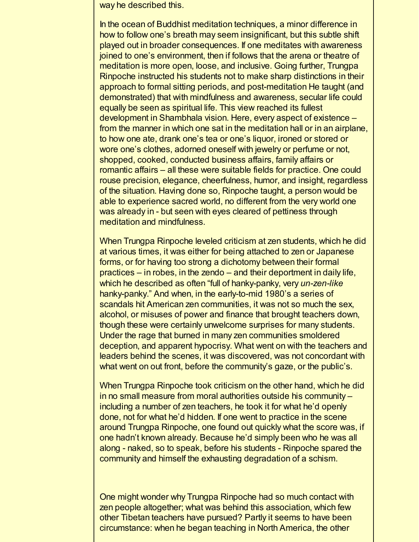way he described this.

In the ocean of Buddhist meditation techniques, a minor difference in how to follow one's breath may seem insignificant, but this subtle shift played out in broader consequences. If one meditates with awareness joined to one's environment, then if follows that the arena or theatre of meditation is more open, loose, and inclusive. Going further, Trungpa Rinpoche instructed his students not to make sharp distinctions in their approach to formal sitting periods, and post-meditation He taught (and demonstrated) that with mindfulness and awareness, secular life could equally be seen as spiritual life. This view reached its fullest development in Shambhala vision. Here, every aspect of existence – from the manner in which one sat in the meditation hall or in an airplane, to how one ate, drank one's tea or one's liquor, ironed or stored or wore one's clothes, adorned oneself with jewelry or perfume or not, shopped, cooked, conducted business affairs, family affairs or romantic affairs – all these were suitable fields for practice. One could rouse precision, elegance, cheerfulness, humor, and insight, regardless of the situation. Having done so, Rinpoche taught, a person would be able to experience sacred world, no different from the very world one was already in - but seen with eyes cleared of pettiness through meditation and mindfulness.

When Trungpa Rinpoche leveled criticism at zen students, which he did at various times, it was either for being attached to zen or Japanese forms, or for having too strong a dichotomy between their formal practices – in robes, in the zendo – and their deportment in daily life, which he described as often "full of hanky-panky, very un-zen-like hanky-panky." And when, in the early-to-mid 1980's a series of scandals hit American zen communities, it was not so much the sex, alcohol, or misuses of power and finance that brought teachers down, though these were certainly unwelcome surprises for many students. Under the rage that burned in many zen communities smoldered deception, and apparent hypocrisy. What went on with the teachers and leaders behind the scenes, it was discovered, was not concordant with what went on out front, before the community's gaze, or the public's.

When Trungpa Rinpoche took criticism on the other hand, which he did in no small measure from moral authorities outside his community – including a number of zen teachers, he took it for what he'd openly done, not for what he'd hidden. If one went to practice in the scene around Trungpa Rinpoche, one found out quickly what the score was, if one hadn't known already. Because he'd simply been who he was all along - naked, so to speak, before his students - Rinpoche spared the community and himself the exhausting degradation of a schism.

One might wonder why Trungpa Rinpoche had so much contact with zen people altogether; what was behind this association, which few other Tibetan teachers have pursued? Partly it seems to have been circumstance: when he began teaching in North America, the other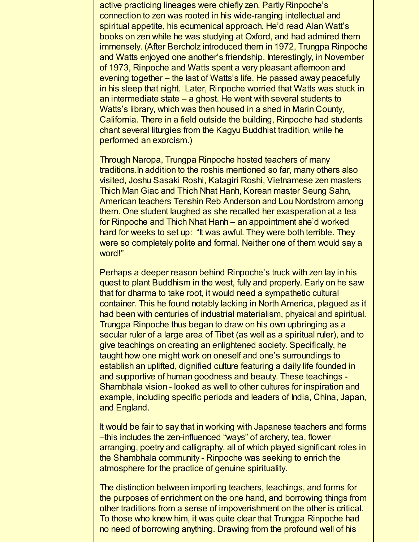active practicing lineages were chiefly zen. Partly Rinpoche's connection to zen was rooted in his wide-ranging intellectual and spiritual appetite, his ecumenical approach. He'd read Alan Watt's books on zen while he was studying at Oxford, and had admired them immensely. (After Bercholz introduced them in 1972, Trungpa Rinpoche and Watts enjoyed one another's friendship. Interestingly, in November of 1973, Rinpoche and Watts spent a very pleasant afternoon and evening together – the last of Watts's life. He passed away peacefully in his sleep that night. Later, Rinpoche worried that Watts was stuck in an intermediate state – a ghost. He went with several students to Watts's library, which was then housed in a shed in Marin County, California. There in a field outside the building, Rinpoche had students chant several liturgies from the Kagyu Buddhist tradition, while he performed an exorcism.)

Through Naropa, Trungpa Rinpoche hosted teachers of many traditions.In addition to the roshis mentioned so far, many others also visited, Joshu Sasaki Roshi, Katagiri Roshi, Vietnamese zen masters Thich Man Giac and Thich Nhat Hanh, Korean master Seung Sahn, American teachers Tenshin Reb Anderson and Lou Nordstrom among them. One student laughed as she recalled her exasperation at a tea for Rinpoche and Thich Nhat Hanh – an appointment she'd worked hard for weeks to set up: "It was awful. They were both terrible. They were so completely polite and formal. Neither one of them would say a word!"

Perhaps a deeper reason behind Rinpoche's truck with zen lay in his quest to plant Buddhism in the west, fully and properly. Early on he saw that for dharma to take root, it would need a sympathetic cultural container. This he found notably lacking in North America, plagued as it had been with centuries of industrial materialism, physical and spiritual. Trungpa Rinpoche thus began to draw on his own upbringing as a secular ruler of a large area of Tibet (as well as a spiritual ruler), and to give teachings on creating an enlightened society. Specifically, he taught how one might work on oneself and one's surroundings to establish an uplifted, dignified culture featuring a daily life founded in and supportive of human goodness and beauty. These teachings - Shambhala vision - looked as well to other cultures for inspiration and example, including specific periods and leaders of India, China, Japan, and England.

It would be fair to say that in working with Japanese teachers and forms –this includes the zen-influenced "ways" of archery, tea, flower arranging, poetry and calligraphy, all of which played significant roles in the Shambhala community - Rinpoche was seeking to enrich the atmosphere for the practice of genuine spirituality.

The distinction between importing teachers, teachings, and forms for the purposes of enrichment on the one hand, and borrowing things from other traditions from a sense of impoverishment on the other is critical. To those who knew him, it was quite clear that Trungpa Rinpoche had no need of borrowing anything. Drawing from the profound well of his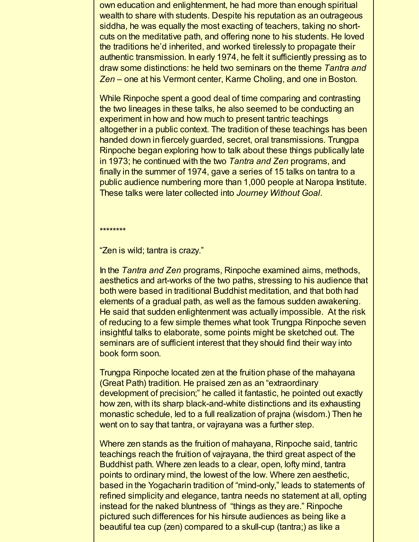own education and enlightenment, he had more than enough spiritual wealth to share with students. Despite his reputation as an outrageous siddha, he was equally the most exacting of teachers, taking no shortcuts on the meditative path, and offering none to his students. He loved the traditions he'd inherited, and worked tirelessly to propagate their authentic transmission. In early 1974, he felt it sufficiently pressing as to draw some distinctions: he held two seminars on the theme Tantra and Zen – one at his Vermont center, Karme Choling, and one in Boston.

While Rinpoche spent a good deal of time comparing and contrasting the two lineages in these talks, he also seemed to be conducting an experiment in how and how much to present tantric teachings altogether in a public context. The tradition of these teachings has been handed down in fiercely guarded, secret, oral transmissions. Trungpa Rinpoche began exploring how to talk about these things publically late in 1973; he continued with the two Tantra and Zen programs, and finally in the summer of 1974, gave a series of 15 talks on tantra to a public audience numbering more than 1,000 people at Naropa Institute. These talks were later collected into Journey Without Goal.

\*\*\*\*\*\*\*\*

"Zen is wild; tantra is crazy."

In the Tantra and Zen programs, Rinpoche examined aims, methods, aesthetics and art-works of the two paths, stressing to his audience that both were based in traditional Buddhist meditation, and that both had elements of a gradual path, as well as the famous sudden awakening. He said that sudden enlightenment was actually impossible. At the risk of reducing to a few simple themes what took Trungpa Rinpoche seven insightful talks to elaborate, some points might be sketched out. The seminars are of sufficient interest that they should find their way into book form soon.

Trungpa Rinpoche located zen at the fruition phase of the mahayana (Great Path) tradition. He praised zen as an "extraordinary development of precision;" he called it fantastic, he pointed out exactly how zen, with its sharp black-and-white distinctions and its exhausting monastic schedule, led to a full realization of prajna (wisdom.) Then he went on to say that tantra, or vajrayana was a further step.

Where zen stands as the fruition of mahayana, Rinpoche said, tantric teachings reach the fruition of vajrayana, the third great aspect of the Buddhist path. Where zen leads to a clear, open, lofty mind, tantra points to ordinary mind, the lowest of the low. Where zen aesthetic, based in the Yogacharin tradition of "mind-only," leads to statements of refined simplicity and elegance, tantra needs no statement at all, opting instead for the naked bluntness of "things as they are." Rinpoche pictured such differences for his hirsute audiences as being like a beautiful tea cup (zen) compared to a skull-cup (tantra;) as like a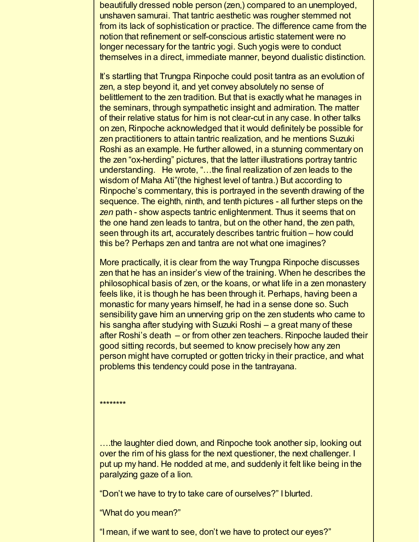beautifully dressed noble person (zen,) compared to an unemployed, unshaven samurai. That tantric aesthetic was rougher stemmed not from its lack of sophistication or practice. The difference came from the notion that refinement or self-conscious artistic statement were no longer necessary for the tantric yogi. Such yogis were to conduct themselves in a direct, immediate manner, beyond dualistic distinction.

It's startling that Trungpa Rinpoche could posit tantra as an evolution of zen, a step beyond it, and yet convey absolutely no sense of belittlement to the zen tradition. But that is exactly what he manages in the seminars, through sympathetic insight and admiration. The matter of their relative status for him is not clear-cut in any case. In other talks on zen, Rinpoche acknowledged that it would definitely be possible for zen practitioners to attain tantric realization, and he mentions Suzuki Roshi as an example. He further allowed, in a stunning commentary on the zen "ox-herding" pictures, that the latter illustrations portray tantric understanding. He wrote, "…the final realization of zen leads to the wisdom of Maha Ati"(the highest level of tantra.) But according to Rinpoche's commentary, this is portrayed in the seventh drawing of the sequence. The eighth, ninth, and tenth pictures - all further steps on the zen path - show aspects tantric enlightenment. Thus it seems that on the one hand zen leads to tantra, but on the other hand, the zen path, seen through its art, accurately describes tantric fruition – how could this be? Perhaps zen and tantra are not what one imagines?

More practically, it is clear from the way Trungpa Rinpoche discusses zen that he has an insider's view of the training. When he describes the philosophical basis of zen, or the koans, or what life in a zen monastery feels like, it is though he has been through it. Perhaps, having been a monastic for many years himself, he had in a sense done so. Such sensibility gave him an unnerving grip on the zen students who came to his sangha after studying with Suzuki Roshi – a great many of these after Roshi's death – or from other zen teachers. Rinpoche lauded their good sitting records, but seemed to know precisely how any zen person might have corrupted or gotten tricky in their practice, and what problems this tendency could pose in the tantrayana.

\*\*\*\*\*\*\*\*

….the laughter died down, and Rinpoche took another sip, looking out over the rim of his glass for the next questioner, the next challenger. I put up my hand. He nodded at me, and suddenly it felt like being in the paralyzing gaze of a lion.

"Don't we have to try to take care of ourselves?" I blurted.

"What do you mean?"

"I mean, if we want to see, don't we have to protect our eyes?"